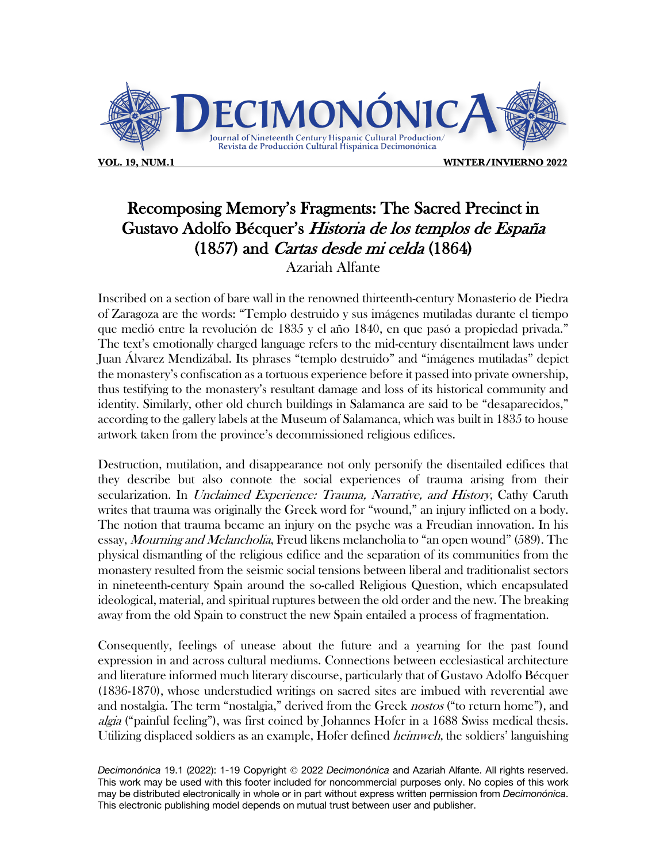

**VOL. 19, NUM.1 WINTER/INVIERNO 2022**

## Recomposing Memory's Fragments: The Sacred Precinct in Gustavo Adolfo Bécquer's Historia de los templos de España (1857) and Cartas desde mi celda (1864)

Azariah Alfante

Inscribed on a section of bare wall in the renowned thirteenth-century Monasterio de Piedra of Zaragoza are the words: "Templo destruido y sus imágenes mutiladas durante el tiempo que medió entre la revolución de 1835 y el año 1840, en que pasó a propiedad privada." The text's emotionally charged language refers to the mid-century disentailment laws under Juan Álvarez Mendizábal. Its phrases "templo destruido" and "imágenes mutiladas" depict the monastery's confiscation as a tortuous experience before it passed into private ownership, thus testifying to the monastery's resultant damage and loss of its historical community and identity. Similarly, other old church buildings in Salamanca are said to be "desaparecidos," according to the gallery labels at the Museum of Salamanca, which was built in 1835 to house artwork taken from the province's decommissioned religious edifices.

Destruction, mutilation, and disappearance not only personify the disentailed edifices that they describe but also connote the social experiences of trauma arising from their secularization. In *Unclaimed Experience: Trauma, Narrative, and History*, Cathy Caruth writes that trauma was originally the Greek word for "wound," an injury inflicted on a body. The notion that trauma became an injury on the psyche was a Freudian innovation. In his essay, Mourning and Melancholia, Freud likens melancholia to "an open wound" (589). The physical dismantling of the religious edifice and the separation of its communities from the monastery resulted from the seismic social tensions between liberal and traditionalist sectors in nineteenth-century Spain around the so-called Religious Question, which encapsulated ideological, material, and spiritual ruptures between the old order and the new. The breaking away from the old Spain to construct the new Spain entailed a process of fragmentation.

Consequently, feelings of unease about the future and a yearning for the past found expression in and across cultural mediums. Connections between ecclesiastical architecture and literature informed much literary discourse, particularly that of Gustavo Adolfo Bécquer (1836-1870), whose understudied writings on sacred sites are imbued with reverential awe and nostalgia. The term "nostalgia," derived from the Greek *nostos* ("to return home"), and algia ("painful feeling"), was first coined by Johannes Hofer in a 1688 Swiss medical thesis. Utilizing displaced soldiers as an example, Hofer defined *heimweh*, the soldiers' languishing

Decimonónica 19.1 (2022): 1-19 Copyright © 2022 *Decimonónica* and Azariah Alfante. All rights reserved. This work may be used with this footer included for noncommercial purposes only. No copies of this work may be distributed electronically in whole or in part without express written permission from *Decimonónica*. This electronic publishing model depends on mutual trust between user and publisher.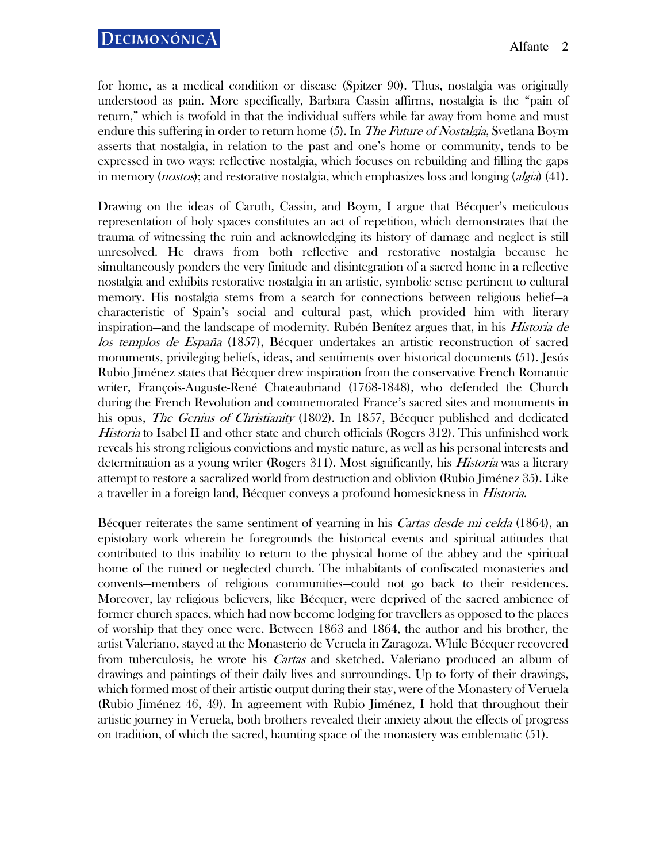for home, as a medical condition or disease (Spitzer 90). Thus, nostalgia was originally understood as pain. More specifically, Barbara Cassin affirms, nostalgia is the "pain of return," which is twofold in that the individual suffers while far away from home and must endure this suffering in order to return home (5). In The Future of Nostalgia, Svetlana Boym asserts that nostalgia, in relation to the past and one's home or community, tends to be expressed in two ways: reflective nostalgia, which focuses on rebuilding and filling the gaps in memory (*nostos*); and restorative nostalgia, which emphasizes loss and longing (*algia*) (41).

Drawing on the ideas of Caruth, Cassin, and Boym, I argue that Bécquer's meticulous representation of holy spaces constitutes an act of repetition, which demonstrates that the trauma of witnessing the ruin and acknowledging its history of damage and neglect is still unresolved. He draws from both reflective and restorative nostalgia because he simultaneously ponders the very finitude and disintegration of a sacred home in a reflective nostalgia and exhibits restorative nostalgia in an artistic, symbolic sense pertinent to cultural memory. His nostalgia stems from a search for connections between religious belief—a characteristic of Spain's social and cultural past, which provided him with literary inspiration—and the landscape of modernity. Rubén Benítez argues that, in his Historia de los templos de España (1857), Bécquer undertakes an artistic reconstruction of sacred monuments, privileging beliefs, ideas, and sentiments over historical documents (51). Jesús Rubio Jiménez states that Bécquer drew inspiration from the conservative French Romantic writer, François-Auguste-René Chateaubriand (1768-1848), who defended the Church during the French Revolution and commemorated France's sacred sites and monuments in his opus, *The Genius of Christianity* (1802). In 1857, Bécquer published and dedicated *Historia* to Isabel II and other state and church officials (Rogers 312). This unfinished work reveals his strong religious convictions and mystic nature, as well as his personal interests and determination as a young writer (Rogers 311). Most significantly, his *Historia* was a literary attempt to restore a sacralized world from destruction and oblivion (Rubio Jiménez 35). Like a traveller in a foreign land, Bécquer conveys a profound homesickness in *Historia*.

Bécquer reiterates the same sentiment of yearning in his *Cartas desde mi celda* (1864), an epistolary work wherein he foregrounds the historical events and spiritual attitudes that contributed to this inability to return to the physical home of the abbey and the spiritual home of the ruined or neglected church. The inhabitants of confiscated monasteries and convents—members of religious communities—could not go back to their residences. Moreover, lay religious believers, like Bécquer, were deprived of the sacred ambience of former church spaces, which had now become lodging for travellers as opposed to the places of worship that they once were. Between 1863 and 1864, the author and his brother, the artist Valeriano, stayed at the Monasterio de Veruela in Zaragoza. While Bécquer recovered from tuberculosis, he wrote his *Cartas* and sketched. Valeriano produced an album of drawings and paintings of their daily lives and surroundings. Up to forty of their drawings, which formed most of their artistic output during their stay, were of the Monastery of Veruela (Rubio Jiménez 46, 49). In agreement with Rubio Jiménez, I hold that throughout their artistic journey in Veruela, both brothers revealed their anxiety about the effects of progress on tradition, of which the sacred, haunting space of the monastery was emblematic (51).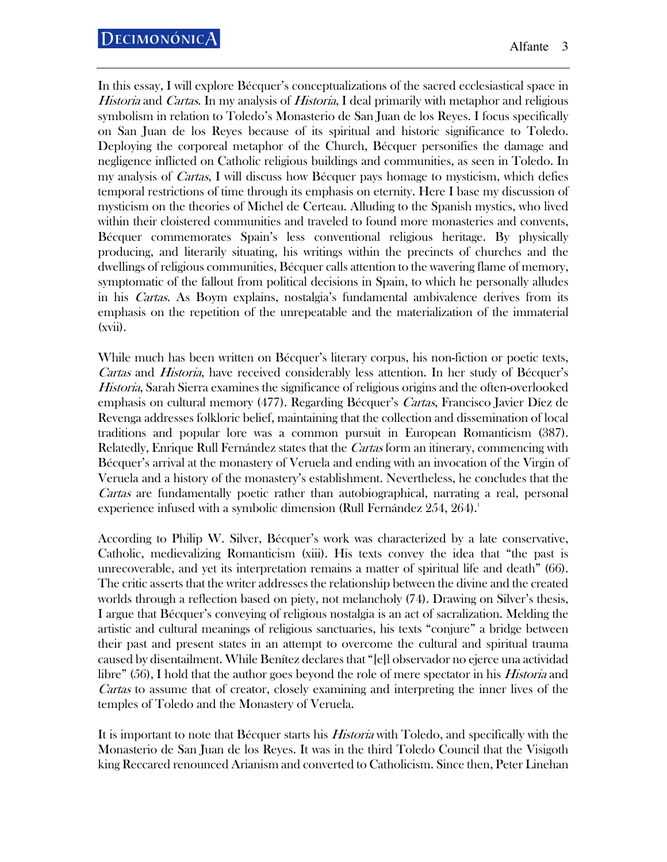In this essay, I will explore Bécquer's conceptualizations of the sacred ecclesiastical space in Historia and Cartas. In my analysis of Historia, I deal primarily with metaphor and religious symbolism in relation to Toledo's Monasterio de San Juan de los Reyes. I focus specifically on San Juan de los Reyes because of its spiritual and historic significance to Toledo. Deploying the corporeal metaphor of the Church, Bécquer personifies the damage and negligence inflicted on Catholic religious buildings and communities, as seen in Toledo. In my analysis of *Cartas*, I will discuss how Bécquer pays homage to mysticism, which defies temporal restrictions of time through its emphasis on eternity. Here I base my discussion of mysticism on the theories of Michel de Certeau. Alluding to the Spanish mystics, who lived within their cloistered communities and traveled to found more monasteries and convents, Bécquer commemorates Spain's less conventional religious heritage. By physically producing, and literarily situating, his writings within the precincts of churches and the dwellings of religious communities, Bécquer calls attention to the wavering flame of memory, symptomatic of the fallout from political decisions in Spain, to which he personally alludes in his Cartas. As Boym explains, nostalgia's fundamental ambivalence derives from its emphasis on the repetition of the unrepeatable and the materialization of the immaterial (xvii).

While much has been written on Bécquer's literary corpus, his non-fiction or poetic texts, Cartas and Historia, have received considerably less attention. In her study of Bécquer's Historia, Sarah Sierra examines the significance of religious origins and the often-overlooked emphasis on cultural memory (477). Regarding Bécquer's Cartas, Francisco Javier Díez de Revenga addresses folkloric belief, maintaining that the collection and dissemination of local traditions and popular lore was a common pursuit in European Romanticism (387). Relatedly, Enrique Rull Fernández states that the *Cartas* form an itinerary, commencing with Bécquer's arrival at the monastery of Veruela and ending with an invocation of the Virgin of Veruela and a history of the monastery's establishment. Nevertheless, he concludes that the Cartas are fundamentally poetic rather than autobiographical, narrating a real, personal experience infused with a symbolic dimension (Rull Fernández 254, 264).<sup>1</sup>

According to Philip W. Silver, Bécquer's work was characterized by a late conservative, Catholic, medievalizing Romanticism (xiii). His texts convey the idea that "the past is unrecoverable, and yet its interpretation remains a matter of spiritual life and death" (66). The critic asserts that the writer addresses the relationship between the divine and the created worlds through a reflection based on piety, not melancholy (74). Drawing on Silver's thesis, I argue that Bécquer's conveying of religious nostalgia is an act of sacralization. Melding the artistic and cultural meanings of religious sanctuaries, his texts "conjure" a bridge between their past and present states in an attempt to overcome the cultural and spiritual trauma caused by disentailment. While Benítez declares that "[e]l observador no ejerce una actividad libre" (56), I hold that the author goes beyond the role of mere spectator in his *Historia* and Cartas to assume that of creator, closely examining and interpreting the inner lives of the temples of Toledo and the Monastery of Veruela.

It is important to note that Bécquer starts his *Historia* with Toledo, and specifically with the Monasterio de San Juan de los Reyes. It was in the third Toledo Council that the Visigoth king Reccared renounced Arianism and converted to Catholicism. Since then, Peter Linehan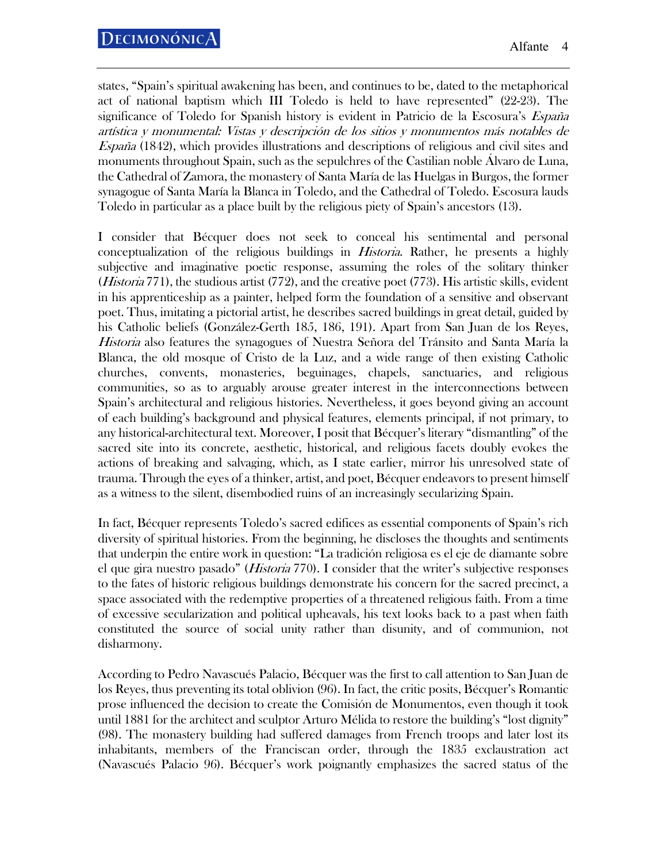states, "Spain's spiritual awakening has been, and continues to be, dated to the metaphorical act of national baptism which III Toledo is held to have represented" (22-23). The significance of Toledo for Spanish history is evident in Patricio de la Escosura's *España* artística y monumental: Vistas y descripción de los sitios y monumentos más notables de España (1842), which provides illustrations and descriptions of religious and civil sites and monuments throughout Spain, such as the sepulchres of the Castilian noble Álvaro de Luna, the Cathedral of Zamora, the monastery of Santa María de las Huelgas in Burgos, the former synagogue of Santa María la Blanca in Toledo, and the Cathedral of Toledo. Escosura lauds Toledo in particular as a place built by the religious piety of Spain's ancestors (13).

I consider that Bécquer does not seek to conceal his sentimental and personal conceptualization of the religious buildings in Historia. Rather, he presents a highly subjective and imaginative poetic response, assuming the roles of the solitary thinker (Historia 771), the studious artist (772), and the creative poet (773). His artistic skills, evident in his apprenticeship as a painter, helped form the foundation of a sensitive and observant poet. Thus, imitating a pictorial artist, he describes sacred buildings in great detail, guided by his Catholic beliefs (González-Gerth 185, 186, 191). Apart from San Juan de los Reyes, Historia also features the synagogues of Nuestra Señora del Tránsito and Santa María la Blanca, the old mosque of Cristo de la Luz, and a wide range of then existing Catholic churches, convents, monasteries, beguinages, chapels, sanctuaries, and religious communities, so as to arguably arouse greater interest in the interconnections between Spain's architectural and religious histories. Nevertheless, it goes beyond giving an account of each building's background and physical features, elements principal, if not primary, to any historical-architectural text. Moreover, I posit that Bécquer's literary "dismantling" of the sacred site into its concrete, aesthetic, historical, and religious facets doubly evokes the actions of breaking and salvaging, which, as I state earlier, mirror his unresolved state of trauma. Through the eyes of a thinker, artist, and poet, Bécquer endeavors to present himself as a witness to the silent, disembodied ruins of an increasingly secularizing Spain.

In fact, Bécquer represents Toledo's sacred edifices as essential components of Spain's rich diversity of spiritual histories. From the beginning, he discloses the thoughts and sentiments that underpin the entire work in question: "La tradición religiosa es el eje de diamante sobre el que gira nuestro pasado" (*Historia* 770). I consider that the writer's subjective responses to the fates of historic religious buildings demonstrate his concern for the sacred precinct, a space associated with the redemptive properties of a threatened religious faith. From a time of excessive secularization and political upheavals, his text looks back to a past when faith constituted the source of social unity rather than disunity, and of communion, not disharmony.

According to Pedro Navascués Palacio, Bécquer was the first to call attention to San Juan de los Reyes, thus preventing its total oblivion (96). In fact, the critic posits, Bécquer's Romantic prose influenced the decision to create the Comisión de Monumentos, even though it took until 1881 for the architect and sculptor Arturo Mélida to restore the building's "lost dignity" (98). The monastery building had suffered damages from French troops and later lost its inhabitants, members of the Franciscan order, through the 1835 exclaustration act (Navascués Palacio 96). Bécquer's work poignantly emphasizes the sacred status of the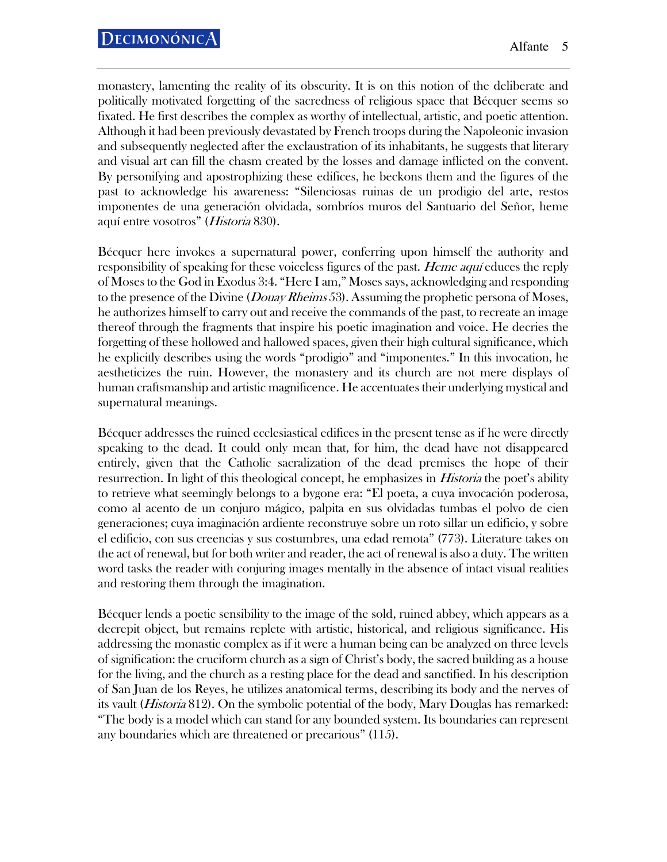monastery, lamenting the reality of its obscurity. It is on this notion of the deliberate and politically motivated forgetting of the sacredness of religious space that Bécquer seems so fixated. He first describes the complex as worthy of intellectual, artistic, and poetic attention. Although it had been previously devastated by French troops during the Napoleonic invasion and subsequently neglected after the exclaustration of its inhabitants, he suggests that literary and visual art can fill the chasm created by the losses and damage inflicted on the convent. By personifying and apostrophizing these edifices, he beckons them and the figures of the past to acknowledge his awareness: "Silenciosas ruinas de un prodigio del arte, restos imponentes de una generación olvidada, sombríos muros del Santuario del Señor, heme aquí entre vosotros" (Historia 830).

Bécquer here invokes a supernatural power, conferring upon himself the authority and responsibility of speaking for these voiceless figures of the past. Heme aquí educes the reply of Moses to the God in Exodus 3:4. "Here I am," Moses says, acknowledging and responding to the presence of the Divine (*Douay Rheims* 53). Assuming the prophetic persona of Moses, he authorizes himself to carry out and receive the commands of the past, to recreate an image thereof through the fragments that inspire his poetic imagination and voice. He decries the forgetting of these hollowed and hallowed spaces, given their high cultural significance, which he explicitly describes using the words "prodigio" and "imponentes." In this invocation, he aestheticizes the ruin. However, the monastery and its church are not mere displays of human craftsmanship and artistic magnificence. He accentuates their underlying mystical and supernatural meanings.

Bécquer addresses the ruined ecclesiastical edifices in the present tense as if he were directly speaking to the dead. It could only mean that, for him, the dead have not disappeared entirely, given that the Catholic sacralization of the dead premises the hope of their resurrection. In light of this theological concept, he emphasizes in *Historia* the poet's ability to retrieve what seemingly belongs to a bygone era: "El poeta, a cuya invocación poderosa, como al acento de un conjuro mágico, palpita en sus olvidadas tumbas el polvo de cien generaciones; cuya imaginación ardiente reconstruye sobre un roto sillar un edificio, y sobre el edificio, con sus creencias y sus costumbres, una edad remota" (773). Literature takes on the act of renewal, but for both writer and reader, the act of renewal is also a duty. The written word tasks the reader with conjuring images mentally in the absence of intact visual realities and restoring them through the imagination.

Bécquer lends a poetic sensibility to the image of the sold, ruined abbey, which appears as a decrepit object, but remains replete with artistic, historical, and religious significance. His addressing the monastic complex as if it were a human being can be analyzed on three levels of signification: the cruciform church as a sign of Christ's body, the sacred building as a house for the living, and the church as a resting place for the dead and sanctified. In his description of San Juan de los Reyes, he utilizes anatomical terms, describing its body and the nerves of its vault *(Historia* 812). On the symbolic potential of the body, Mary Douglas has remarked: "The body is a model which can stand for any bounded system. Its boundaries can represent any boundaries which are threatened or precarious" (115).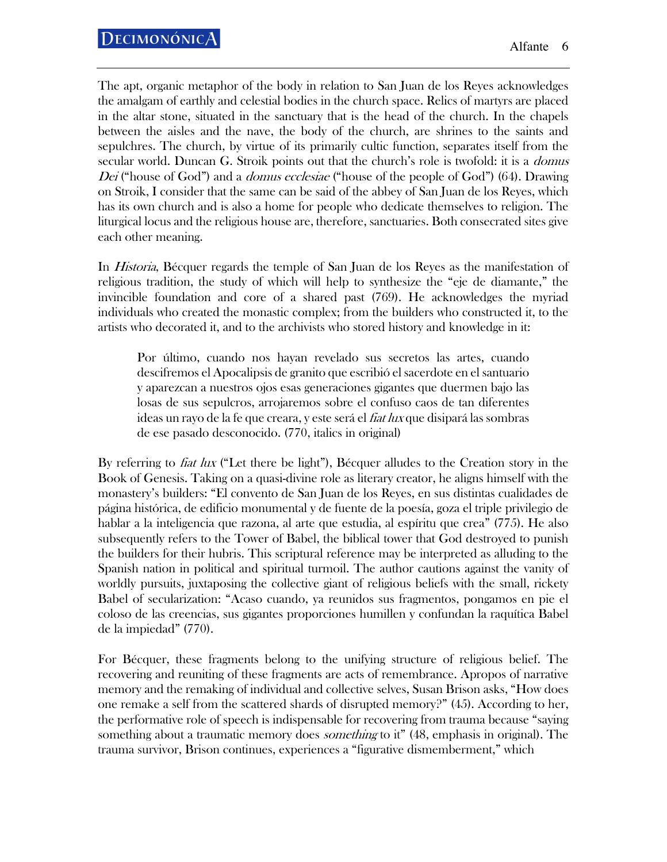The apt, organic metaphor of the body in relation to San Juan de los Reyes acknowledges the amalgam of earthly and celestial bodies in the church space. Relics of martyrs are placed in the altar stone, situated in the sanctuary that is the head of the church. In the chapels between the aisles and the nave, the body of the church, are shrines to the saints and sepulchres. The church, by virtue of its primarily cultic function, separates itself from the secular world. Duncan G. Stroik points out that the church's role is twofold: it is a *domus* Dei ("house of God") and a *domus ecclesiae* ("house of the people of God") (64). Drawing on Stroik, I consider that the same can be said of the abbey of San Juan de los Reyes, which has its own church and is also a home for people who dedicate themselves to religion. The liturgical locus and the religious house are, therefore, sanctuaries. Both consecrated sites give each other meaning.

In *Historia*, Bécquer regards the temple of San Juan de los Reyes as the manifestation of religious tradition, the study of which will help to synthesize the "eje de diamante," the invincible foundation and core of a shared past (769). He acknowledges the myriad individuals who created the monastic complex; from the builders who constructed it, to the artists who decorated it, and to the archivists who stored history and knowledge in it:

Por último, cuando nos hayan revelado sus secretos las artes, cuando descifremos el Apocalipsis de granito que escribió el sacerdote en el santuario y aparezcan a nuestros ojos esas generaciones gigantes que duermen bajo las losas de sus sepulcros, arrojaremos sobre el confuso caos de tan diferentes ideas un rayo de la fe que creara, y este será el fiat lux que disipará las sombras de ese pasado desconocido. (770, italics in original)

By referring to *fiat lux* ("Let there be light"), Bécquer alludes to the Creation story in the Book of Genesis. Taking on a quasi-divine role as literary creator, he aligns himself with the monastery's builders: "El convento de San Juan de los Reyes, en sus distintas cualidades de página histórica, de edificio monumental y de fuente de la poesía, goza el triple privilegio de hablar a la inteligencia que razona, al arte que estudia, al espíritu que crea" (775). He also subsequently refers to the Tower of Babel, the biblical tower that God destroyed to punish the builders for their hubris. This scriptural reference may be interpreted as alluding to the Spanish nation in political and spiritual turmoil. The author cautions against the vanity of worldly pursuits, juxtaposing the collective giant of religious beliefs with the small, rickety Babel of secularization: "Acaso cuando, ya reunidos sus fragmentos, pongamos en pie el coloso de las creencias, sus gigantes proporciones humillen y confundan la raquítica Babel de la impiedad" (770).

For Bécquer, these fragments belong to the unifying structure of religious belief. The recovering and reuniting of these fragments are acts of remembrance. Apropos of narrative memory and the remaking of individual and collective selves, Susan Brison asks, "How does one remake a self from the scattered shards of disrupted memory?" (45). According to her, the performative role of speech is indispensable for recovering from trauma because "saying something about a traumatic memory does *something* to it" (48, emphasis in original). The trauma survivor, Brison continues, experiences a "figurative dismemberment," which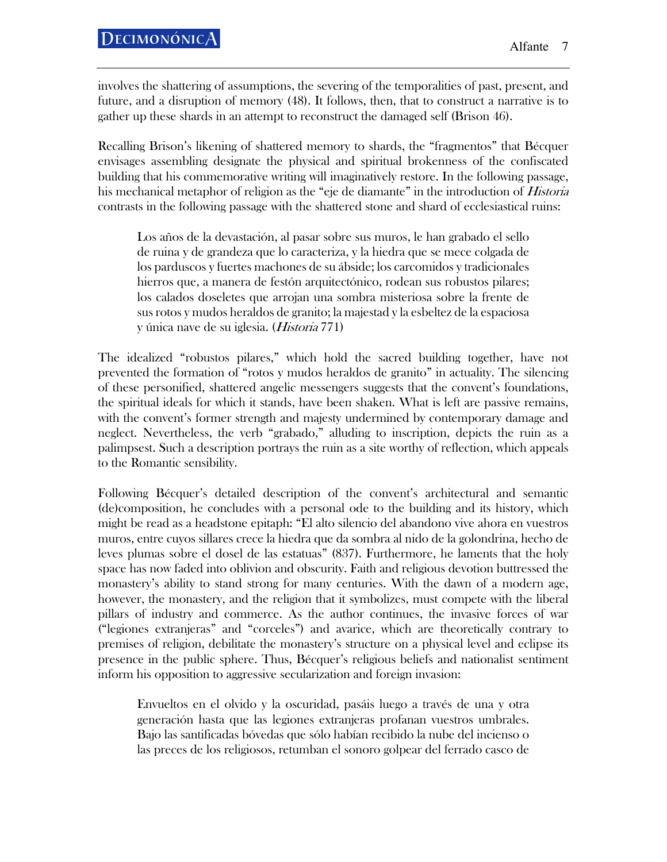involves the shattering of assumptions, the severing of the temporalities of past, present, and future, and a disruption of memory (48). It follows, then, that to construct a narrative is to gather up these shards in an attempt to reconstruct the damaged self (Brison 46).

Recalling Brison's likening of shattered memory to shards, the "fragmentos" that Bécquer envisages assembling designate the physical and spiritual brokenness of the confiscated building that his commemorative writing will imaginatively restore. In the following passage, his mechanical metaphor of religion as the "eje de diamante" in the introduction of *Historia* contrasts in the following passage with the shattered stone and shard of ecclesiastical ruins:

Los años de la devastación, al pasar sobre sus muros, le han grabado el sello de ruina y de grandeza que lo caracteriza, y la hiedra que se mece colgada de los parduscos y fuertes machones de su ábside; los carcomidos y tradicionales hierros que, a manera de festón arquitectónico, rodean sus robustos pilares; los calados doseletes que arrojan una sombra misteriosa sobre la frente de sus rotos y mudos heraldos de granito; la majestad y la esbeltez de la espaciosa y única nave de su iglesia. (Historia 771)

The idealized "robustos pilares," which hold the sacred building together, have not prevented the formation of "rotos y mudos heraldos de granito" in actuality. The silencing of these personified, shattered angelic messengers suggests that the convent's foundations, the spiritual ideals for which it stands, have been shaken. What is left are passive remains, with the convent's former strength and majesty undermined by contemporary damage and neglect. Nevertheless, the verb "grabado," alluding to inscription, depicts the ruin as a palimpsest. Such a description portrays the ruin as a site worthy of reflection, which appeals to the Romantic sensibility.

Following Bécquer's detailed description of the convent's architectural and semantic (de)composition, he concludes with a personal ode to the building and its history, which might be read as a headstone epitaph: "El alto silencio del abandono vive ahora en vuestros muros, entre cuyos sillares crece la hiedra que da sombra al nido de la golondrina, hecho de leves plumas sobre el dosel de las estatuas" (837). Furthermore, he laments that the holy space has now faded into oblivion and obscurity. Faith and religious devotion buttressed the monastery's ability to stand strong for many centuries. With the dawn of a modern age, however, the monastery, and the religion that it symbolizes, must compete with the liberal pillars of industry and commerce. As the author continues, the invasive forces of war ("legiones extranjeras" and "corceles") and avarice, which are theoretically contrary to premises of religion, debilitate the monastery's structure on a physical level and eclipse its presence in the public sphere. Thus, Bécquer's religious beliefs and nationalist sentiment inform his opposition to aggressive secularization and foreign invasion:

Envueltos en el olvido y la oscuridad, pasáis luego a través de una y otra generación hasta que las legiones extranjeras profanan vuestros umbrales. Bajo las santificadas bóvedas que sólo habían recibido la nube del incienso o las preces de los religiosos, retumban el sonoro golpear del ferrado casco de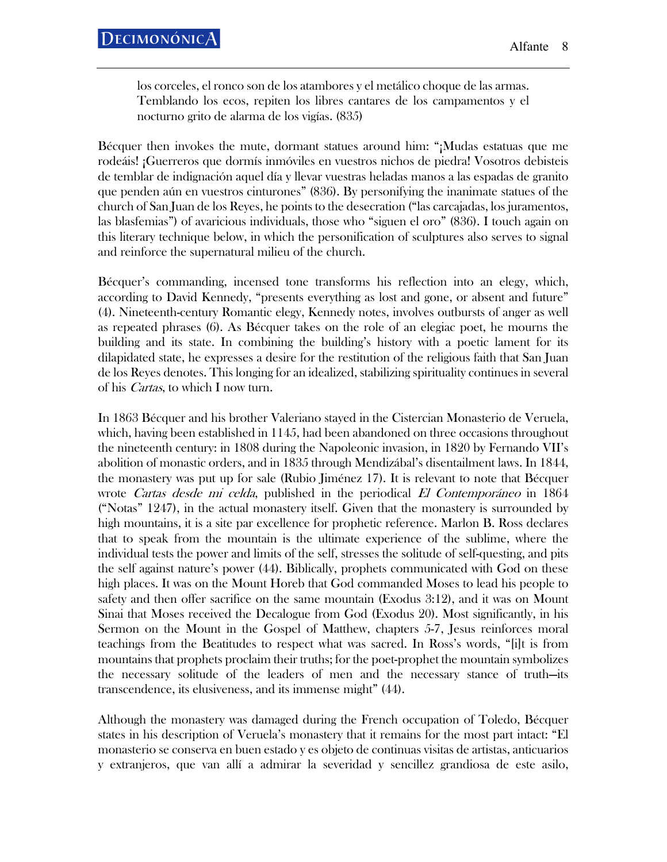los corceles, el ronco son de los atambores y el metálico choque de las armas. Temblando los ecos, repiten los libres cantares de los campamentos y el nocturno grito de alarma de los vigías. (835)

Bécquer then invokes the mute, dormant statues around him: "¡Mudas estatuas que me rodeáis! ¡Guerreros que dormís inmóviles en vuestros nichos de piedra! Vosotros debisteis de temblar de indignación aquel día y llevar vuestras heladas manos a las espadas de granito que penden aún en vuestros cinturones" (836). By personifying the inanimate statues of the church of San Juan de los Reyes, he points to the desecration ("las carcajadas, los juramentos, las blasfemias") of avaricious individuals, those who "siguen el oro" (836). I touch again on this literary technique below, in which the personification of sculptures also serves to signal and reinforce the supernatural milieu of the church.

Bécquer's commanding, incensed tone transforms his reflection into an elegy, which, according to David Kennedy, "presents everything as lost and gone, or absent and future" (4). Nineteenth-century Romantic elegy, Kennedy notes, involves outbursts of anger as well as repeated phrases (6). As Bécquer takes on the role of an elegiac poet, he mourns the building and its state. In combining the building's history with a poetic lament for its dilapidated state, he expresses a desire for the restitution of the religious faith that San Juan de los Reyes denotes. This longing for an idealized, stabilizing spirituality continues in several of his *Cartas*, to which I now turn.

In 1863 Bécquer and his brother Valeriano stayed in the Cistercian Monasterio de Veruela, which, having been established in 1145, had been abandoned on three occasions throughout the nineteenth century: in 1808 during the Napoleonic invasion, in 1820 by Fernando VII's abolition of monastic orders, and in 1835 through Mendizábal's disentailment laws. In 1844, the monastery was put up for sale (Rubio Jiménez 17). It is relevant to note that Bécquer wrote *Cartas desde mi celda*, published in the periodical *El Contemporáneo* in 1864 ("Notas" 1247), in the actual monastery itself. Given that the monastery is surrounded by high mountains, it is a site par excellence for prophetic reference. Marlon B. Ross declares that to speak from the mountain is the ultimate experience of the sublime, where the individual tests the power and limits of the self, stresses the solitude of self-questing, and pits the self against nature's power (44). Biblically, prophets communicated with God on these high places. It was on the Mount Horeb that God commanded Moses to lead his people to safety and then offer sacrifice on the same mountain (Exodus 3:12), and it was on Mount Sinai that Moses received the Decalogue from God (Exodus 20). Most significantly, in his Sermon on the Mount in the Gospel of Matthew, chapters 5-7, Jesus reinforces moral teachings from the Beatitudes to respect what was sacred. In Ross's words, "[i]t is from mountains that prophets proclaim their truths; for the poet-prophet the mountain symbolizes the necessary solitude of the leaders of men and the necessary stance of truth—its transcendence, its elusiveness, and its immense might" (44).

Although the monastery was damaged during the French occupation of Toledo, Bécquer states in his description of Veruela's monastery that it remains for the most part intact: "El monasterio se conserva en buen estado y es objeto de continuas visitas de artistas, anticuarios y extranjeros, que van allí a admirar la severidad y sencillez grandiosa de este asilo,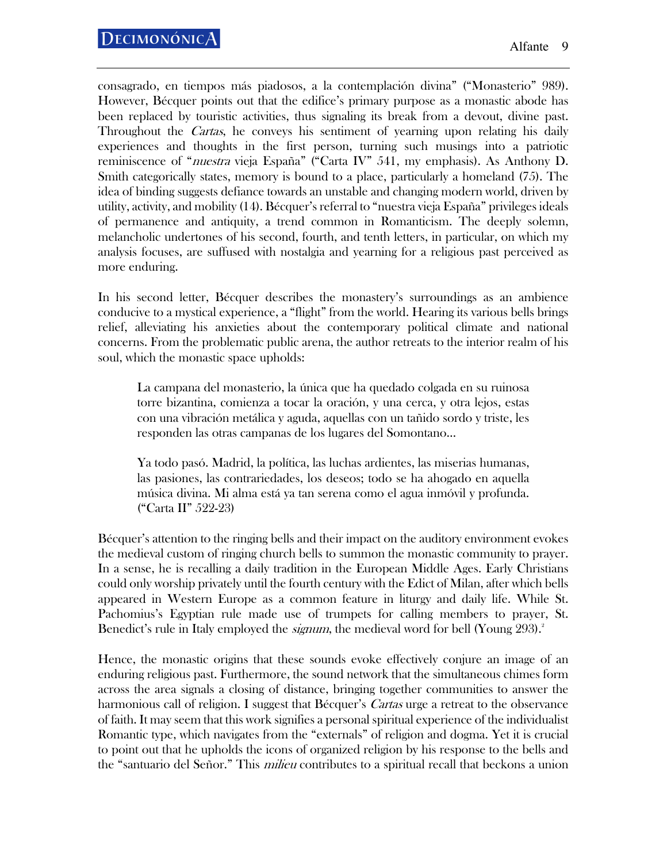consagrado, en tiempos más piadosos, a la contemplación divina" ("Monasterio" 989). However, Bécquer points out that the edifice's primary purpose as a monastic abode has been replaced by touristic activities, thus signaling its break from a devout, divine past. Throughout the *Cartas*, he conveys his sentiment of yearning upon relating his daily experiences and thoughts in the first person, turning such musings into a patriotic reminiscence of "*nuestra* vieja España" ("Carta IV" 541, my emphasis). As Anthony D. Smith categorically states, memory is bound to a place, particularly a homeland (75). The idea of binding suggests defiance towards an unstable and changing modern world, driven by utility, activity, and mobility (14). Bécquer's referral to "nuestra vieja España" privileges ideals of permanence and antiquity, a trend common in Romanticism. The deeply solemn, melancholic undertones of his second, fourth, and tenth letters, in particular, on which my analysis focuses, are suffused with nostalgia and yearning for a religious past perceived as more enduring.

In his second letter, Bécquer describes the monastery's surroundings as an ambience conducive to a mystical experience, a "flight" from the world. Hearing its various bells brings relief, alleviating his anxieties about the contemporary political climate and national concerns. From the problematic public arena, the author retreats to the interior realm of his soul, which the monastic space upholds:

La campana del monasterio, la única que ha quedado colgada en su ruinosa torre bizantina, comienza a tocar la oración, y una cerca, y otra lejos, estas con una vibración metálica y aguda, aquellas con un tañido sordo y triste, les responden las otras campanas de los lugares del Somontano…

Ya todo pasó. Madrid, la política, las luchas ardientes, las miserias humanas, las pasiones, las contrariedades, los deseos; todo se ha ahogado en aquella música divina. Mi alma está ya tan serena como el agua inmóvil y profunda. ("Carta II" 522-23)

Bécquer's attention to the ringing bells and their impact on the auditory environment evokes the medieval custom of ringing church bells to summon the monastic community to prayer. In a sense, he is recalling a daily tradition in the European Middle Ages. Early Christians could only worship privately until the fourth century with the Edict of Milan, after which bells appeared in Western Europe as a common feature in liturgy and daily life. While St. Pachomius's Egyptian rule made use of trumpets for calling members to prayer, St. Benedict's rule in Italy employed the *signum*, the medieval word for bell (Young 293).<sup>2</sup>

Hence, the monastic origins that these sounds evoke effectively conjure an image of an enduring religious past. Furthermore, the sound network that the simultaneous chimes form across the area signals a closing of distance, bringing together communities to answer the harmonious call of religion. I suggest that Bécquer's *Cartas* urge a retreat to the observance of faith. It may seem that this work signifies a personal spiritual experience of the individualist Romantic type, which navigates from the "externals" of religion and dogma. Yet it is crucial to point out that he upholds the icons of organized religion by his response to the bells and the "santuario del Señor." This *milieu* contributes to a spiritual recall that beckons a union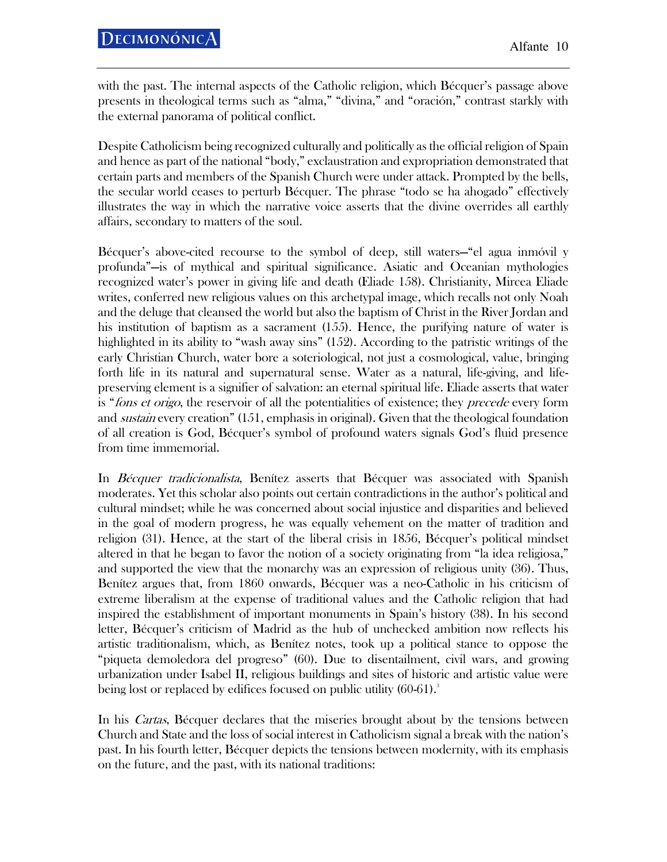with the past. The internal aspects of the Catholic religion, which Bécquer's passage above presents in theological terms such as "alma," "divina," and "oración," contrast starkly with the external panorama of political conflict.

Despite Catholicism being recognized culturally and politically as the official religion of Spain and hence as part of the national "body," exclaustration and expropriation demonstrated that certain parts and members of the Spanish Church were under attack. Prompted by the bells, the secular world ceases to perturb Bécquer. The phrase "todo se ha ahogado" effectively illustrates the way in which the narrative voice asserts that the divine overrides all earthly affairs, secondary to matters of the soul.

Bécquer's above-cited recourse to the symbol of deep, still waters—"el agua inmóvil y profunda"—is of mythical and spiritual significance. Asiatic and Oceanian mythologies recognized water's power in giving life and death (Eliade 158). Christianity, Mircea Eliade writes, conferred new religious values on this archetypal image, which recalls not only Noah and the deluge that cleansed the world but also the baptism of Christ in the River Jordan and his institution of baptism as a sacrament (155). Hence, the purifying nature of water is highlighted in its ability to "wash away sins" (152). According to the patristic writings of the early Christian Church, water bore a soteriological, not just a cosmological, value, bringing forth life in its natural and supernatural sense. Water as a natural, life-giving, and lifepreserving element is a signifier of salvation: an eternal spiritual life. Eliade asserts that water is "*fons et origo*, the reservoir of all the potentialities of existence; they *precede* every form and *sustain* every creation" (151, emphasis in original). Given that the theological foundation of all creation is God, Bécquer's symbol of profound waters signals God's fluid presence from time immemorial.

In Bécquer tradicionalista, Benítez asserts that Bécquer was associated with Spanish moderates. Yet this scholar also points out certain contradictions in the author's political and cultural mindset; while he was concerned about social injustice and disparities and believed in the goal of modern progress, he was equally vehement on the matter of tradition and religion (31). Hence, at the start of the liberal crisis in 1856, Bécquer's political mindset altered in that he began to favor the notion of a society originating from "la idea religiosa," and supported the view that the monarchy was an expression of religious unity (36). Thus, Benítez argues that, from 1860 onwards, Bécquer was a neo-Catholic in his criticism of extreme liberalism at the expense of traditional values and the Catholic religion that had inspired the establishment of important monuments in Spain's history (38). In his second letter, Bécquer's criticism of Madrid as the hub of unchecked ambition now reflects his artistic traditionalism, which, as Benítez notes, took up a political stance to oppose the "piqueta demoledora del progreso" (60). Due to disentailment, civil wars, and growing urbanization under Isabel II, religious buildings and sites of historic and artistic value were being lost or replaced by edifices focused on public utility (60-61).<sup>3</sup>

In his *Cartas*, Bécquer declares that the miseries brought about by the tensions between Church and State and the loss of social interest in Catholicism signal a break with the nation's past. In his fourth letter, Bécquer depicts the tensions between modernity, with its emphasis on the future, and the past, with its national traditions: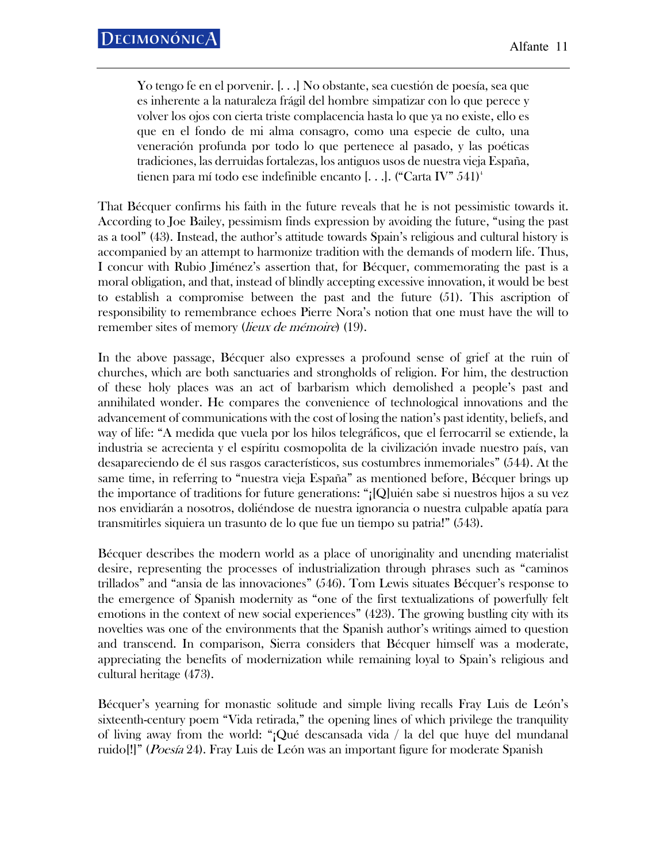Yo tengo fe en el porvenir. [. . .] No obstante, sea cuestión de poesía, sea que es inherente a la naturaleza frágil del hombre simpatizar con lo que perece y volver los ojos con cierta triste complacencia hasta lo que ya no existe, ello es que en el fondo de mi alma consagro, como una especie de culto, una veneración profunda por todo lo que pertenece al pasado, y las poéticas tradiciones, las derruidas fortalezas, los antiguos usos de nuestra vieja España, tienen para mí todo ese indefinible encanto [...]. ("Carta IV"  $541$ )

That Bécquer confirms his faith in the future reveals that he is not pessimistic towards it. According to Joe Bailey, pessimism finds expression by avoiding the future, "using the past as a tool" (43). Instead, the author's attitude towards Spain's religious and cultural history is accompanied by an attempt to harmonize tradition with the demands of modern life. Thus, I concur with Rubio Jiménez's assertion that, for Bécquer, commemorating the past is a moral obligation, and that, instead of blindly accepting excessive innovation, it would be best to establish a compromise between the past and the future (51). This ascription of responsibility to remembrance echoes Pierre Nora's notion that one must have the will to remember sites of memory (*lieux de mémoire*) (19).

In the above passage, Bécquer also expresses a profound sense of grief at the ruin of churches, which are both sanctuaries and strongholds of religion. For him, the destruction of these holy places was an act of barbarism which demolished a people's past and annihilated wonder. He compares the convenience of technological innovations and the advancement of communications with the cost of losing the nation's past identity, beliefs, and way of life: "A medida que vuela por los hilos telegráficos, que el ferrocarril se extiende, la industria se acrecienta y el espíritu cosmopolita de la civilización invade nuestro país, van desapareciendo de él sus rasgos característicos, sus costumbres inmemoriales" (544). At the same time, in referring to "nuestra vieja España" as mentioned before, Bécquer brings up the importance of traditions for future generations: "¡[Q]uién sabe si nuestros hijos a su vez nos envidiarán a nosotros, doliéndose de nuestra ignorancia o nuestra culpable apatía para transmitirles siquiera un trasunto de lo que fue un tiempo su patria!" (543).

Bécquer describes the modern world as a place of unoriginality and unending materialist desire, representing the processes of industrialization through phrases such as "caminos trillados" and "ansia de las innovaciones" (546). Tom Lewis situates Bécquer's response to the emergence of Spanish modernity as "one of the first textualizations of powerfully felt emotions in the context of new social experiences" (423). The growing bustling city with its novelties was one of the environments that the Spanish author's writings aimed to question and transcend. In comparison, Sierra considers that Bécquer himself was a moderate, appreciating the benefits of modernization while remaining loyal to Spain's religious and cultural heritage (473).

Bécquer's yearning for monastic solitude and simple living recalls Fray Luis de León's sixteenth-century poem "Vida retirada," the opening lines of which privilege the tranquility of living away from the world: "¡Qué descansada vida / la del que huye del mundanal ruido[!]" (Poesía 24). Fray Luis de León was an important figure for moderate Spanish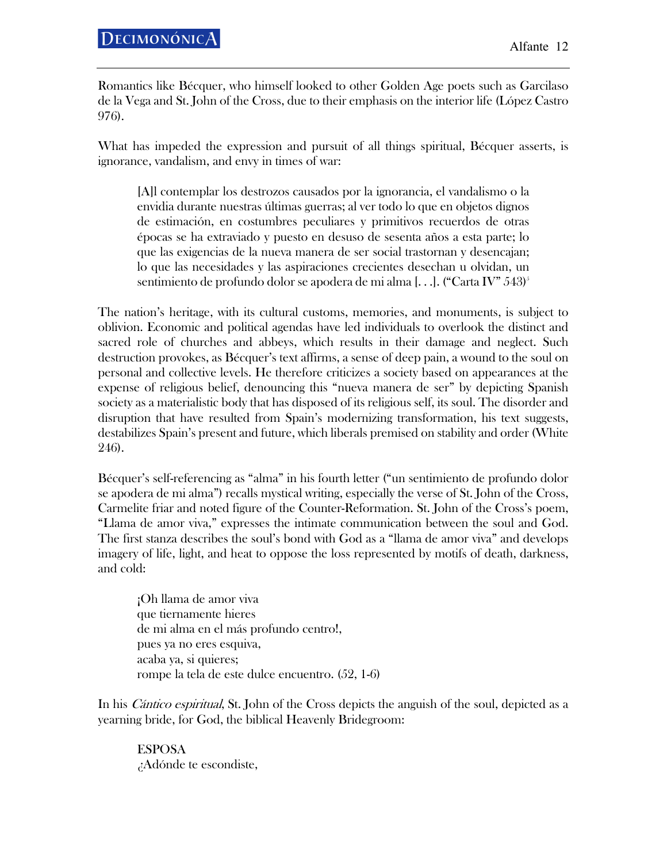Romantics like Bécquer, who himself looked to other Golden Age poets such as Garcilaso de la Vega and St. John of the Cross, due to their emphasis on the interior life (López Castro 976).

What has impeded the expression and pursuit of all things spiritual, Bécquer asserts, is ignorance, vandalism, and envy in times of war:

[A]l contemplar los destrozos causados por la ignorancia, el vandalismo o la envidia durante nuestras últimas guerras; al ver todo lo que en objetos dignos de estimación, en costumbres peculiares y primitivos recuerdos de otras épocas se ha extraviado y puesto en desuso de sesenta años a esta parte; lo que las exigencias de la nueva manera de ser social trastornan y desencajan; lo que las necesidades y las aspiraciones crecientes desechan u olvidan, un sentimiento de profundo dolor se apodera de mi alma [...]. ("Carta IV"  $543$ )

The nation's heritage, with its cultural customs, memories, and monuments, is subject to oblivion. Economic and political agendas have led individuals to overlook the distinct and sacred role of churches and abbeys, which results in their damage and neglect. Such destruction provokes, as Bécquer's text affirms, a sense of deep pain, a wound to the soul on personal and collective levels. He therefore criticizes a society based on appearances at the expense of religious belief, denouncing this "nueva manera de ser" by depicting Spanish society as a materialistic body that has disposed of its religious self, its soul. The disorder and disruption that have resulted from Spain's modernizing transformation, his text suggests, destabilizes Spain's present and future, which liberals premised on stability and order (White 246).

Bécquer's self-referencing as "alma" in his fourth letter ("un sentimiento de profundo dolor se apodera de mi alma") recalls mystical writing, especially the verse of St. John of the Cross, Carmelite friar and noted figure of the Counter-Reformation. St. John of the Cross's poem, "Llama de amor viva," expresses the intimate communication between the soul and God. The first stanza describes the soul's bond with God as a "llama de amor viva" and develops imagery of life, light, and heat to oppose the loss represented by motifs of death, darkness, and cold:

¡Oh llama de amor viva que tiernamente hieres de mi alma en el más profundo centro!, pues ya no eres esquiva, acaba ya, si quieres; rompe la tela de este dulce encuentro. (52, 1-6)

In his *Cántico espiritual*, St. John of the Cross depicts the anguish of the soul, depicted as a yearning bride, for God, the biblical Heavenly Bridegroom:

ESPOSA ¿Adónde te escondiste,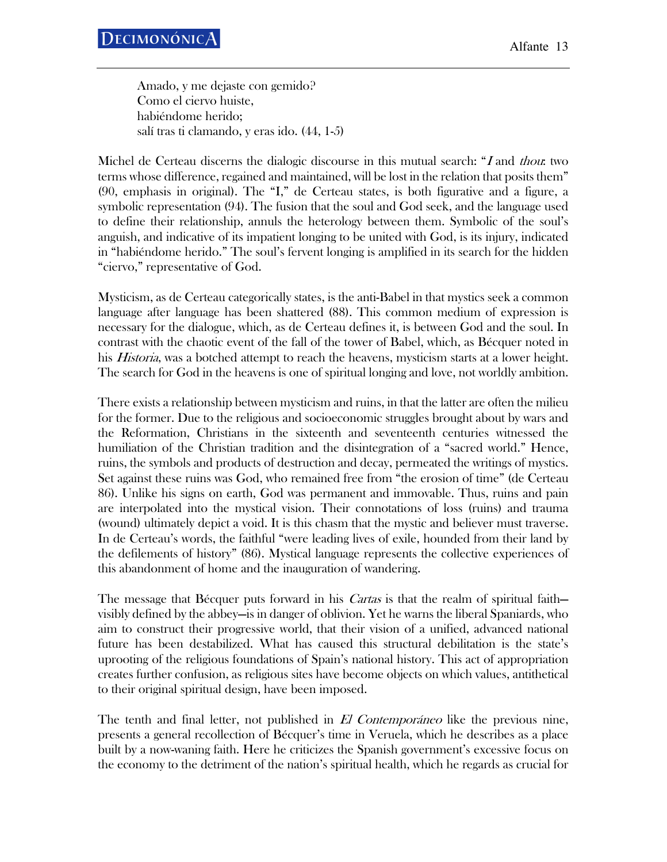Amado, y me dejaste con gemido? Como el ciervo huiste, habiéndome herido; salí tras ti clamando, y eras ido. (44, 1-5)

Michel de Certeau discerns the dialogic discourse in this mutual search: "I and thou: two terms whose difference, regained and maintained, will be lost in the relation that posits them" (90, emphasis in original). The "I," de Certeau states, is both figurative and a figure, a symbolic representation (94). The fusion that the soul and God seek, and the language used to define their relationship, annuls the heterology between them. Symbolic of the soul's anguish, and indicative of its impatient longing to be united with God, is its injury, indicated in "habiéndome herido." The soul's fervent longing is amplified in its search for the hidden "ciervo," representative of God.

Mysticism, as de Certeau categorically states, is the anti-Babel in that mystics seek a common language after language has been shattered (88). This common medium of expression is necessary for the dialogue, which, as de Certeau defines it, is between God and the soul. In contrast with the chaotic event of the fall of the tower of Babel, which, as Bécquer noted in his *Historia*, was a botched attempt to reach the heavens, mysticism starts at a lower height. The search for God in the heavens is one of spiritual longing and love, not worldly ambition.

There exists a relationship between mysticism and ruins, in that the latter are often the milieu for the former. Due to the religious and socioeconomic struggles brought about by wars and the Reformation, Christians in the sixteenth and seventeenth centuries witnessed the humiliation of the Christian tradition and the disintegration of a "sacred world." Hence, ruins, the symbols and products of destruction and decay, permeated the writings of mystics. Set against these ruins was God, who remained free from "the erosion of time" (de Certeau 86). Unlike his signs on earth, God was permanent and immovable. Thus, ruins and pain are interpolated into the mystical vision. Their connotations of loss (ruins) and trauma (wound) ultimately depict a void. It is this chasm that the mystic and believer must traverse. In de Certeau's words, the faithful "were leading lives of exile, hounded from their land by the defilements of history" (86). Mystical language represents the collective experiences of this abandonment of home and the inauguration of wandering.

The message that Bécquer puts forward in his *Cartas* is that the realm of spiritual faith visibly defined by the abbey—is in danger of oblivion. Yet he warns the liberal Spaniards, who aim to construct their progressive world, that their vision of a unified, advanced national future has been destabilized. What has caused this structural debilitation is the state's uprooting of the religious foundations of Spain's national history. This act of appropriation creates further confusion, as religious sites have become objects on which values, antithetical to their original spiritual design, have been imposed.

The tenth and final letter, not published in El Contemporáneo like the previous nine, presents a general recollection of Bécquer's time in Veruela, which he describes as a place built by a now-waning faith. Here he criticizes the Spanish government's excessive focus on the economy to the detriment of the nation's spiritual health, which he regards as crucial for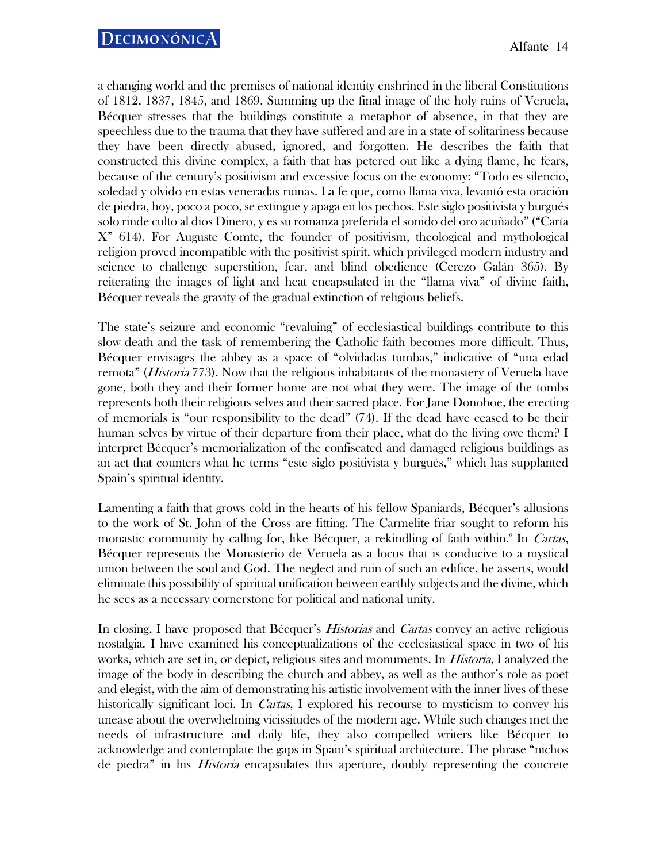a changing world and the premises of national identity enshrined in the liberal Constitutions of 1812, 1837, 1845, and 1869. Summing up the final image of the holy ruins of Veruela, Bécquer stresses that the buildings constitute a metaphor of absence, in that they are speechless due to the trauma that they have suffered and are in a state of solitariness because they have been directly abused, ignored, and forgotten. He describes the faith that constructed this divine complex, a faith that has petered out like a dying flame, he fears, because of the century's positivism and excessive focus on the economy: "Todo es silencio, soledad y olvido en estas veneradas ruinas. La fe que, como llama viva, levantó esta oración de piedra, hoy, poco a poco, se extingue y apaga en los pechos. Este siglo positivista y burgués solo rinde culto al dios Dinero, y es su romanza preferida el sonido del oro acuñado" ("Carta X" 614). For Auguste Comte, the founder of positivism, theological and mythological religion proved incompatible with the positivist spirit, which privileged modern industry and science to challenge superstition, fear, and blind obedience (Cerezo Galán 365). By reiterating the images of light and heat encapsulated in the "llama viva" of divine faith, Bécquer reveals the gravity of the gradual extinction of religious beliefs.

The state's seizure and economic "revaluing" of ecclesiastical buildings contribute to this slow death and the task of remembering the Catholic faith becomes more difficult. Thus, Bécquer envisages the abbey as a space of "olvidadas tumbas," indicative of "una edad remota" (*Historia* 773). Now that the religious inhabitants of the monastery of Veruela have gone, both they and their former home are not what they were. The image of the tombs represents both their religious selves and their sacred place. For Jane Donohoe, the erecting of memorials is "our responsibility to the dead" (74). If the dead have ceased to be their human selves by virtue of their departure from their place, what do the living owe them? I interpret Bécquer's memorialization of the confiscated and damaged religious buildings as an act that counters what he terms "este siglo positivista y burgués," which has supplanted Spain's spiritual identity.

Lamenting a faith that grows cold in the hearts of his fellow Spaniards, Bécquer's allusions to the work of St. John of the Cross are fitting. The Carmelite friar sought to reform his monastic community by calling for, like Bécquer, a rekindling of faith within.<sup>6</sup> In *Cartas*, Bécquer represents the Monasterio de Veruela as a locus that is conducive to a mystical union between the soul and God. The neglect and ruin of such an edifice, he asserts, would eliminate this possibility of spiritual unification between earthly subjects and the divine, which he sees as a necessary cornerstone for political and national unity.

In closing, I have proposed that Bécquer's *Historias* and *Cartas* convey an active religious nostalgia. I have examined his conceptualizations of the ecclesiastical space in two of his works, which are set in, or depict, religious sites and monuments. In *Historia*, I analyzed the image of the body in describing the church and abbey, as well as the author's role as poet and elegist, with the aim of demonstrating his artistic involvement with the inner lives of these historically significant loci. In *Cartas*, I explored his recourse to mysticism to convey his unease about the overwhelming vicissitudes of the modern age. While such changes met the needs of infrastructure and daily life, they also compelled writers like Bécquer to acknowledge and contemplate the gaps in Spain's spiritual architecture. The phrase "nichos de piedra" in his *Historia* encapsulates this aperture, doubly representing the concrete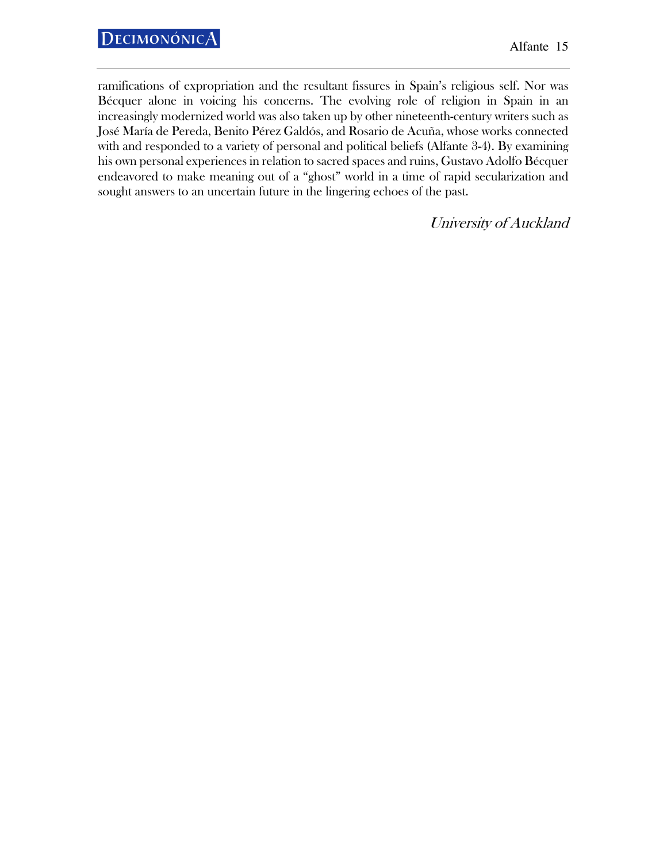ramifications of expropriation and the resultant fissures in Spain's religious self. Nor was Bécquer alone in voicing his concerns. The evolving role of religion in Spain in an increasingly modernized world was also taken up by other nineteenth-century writers such as José María de Pereda, Benito Pérez Galdós, and Rosario de Acuña, whose works connected with and responded to a variety of personal and political beliefs (Alfante 3-4). By examining his own personal experiences in relation to sacred spaces and ruins, Gustavo Adolfo Bécquer endeavored to make meaning out of a "ghost" world in a time of rapid secularization and sought answers to an uncertain future in the lingering echoes of the past.

University of Auckland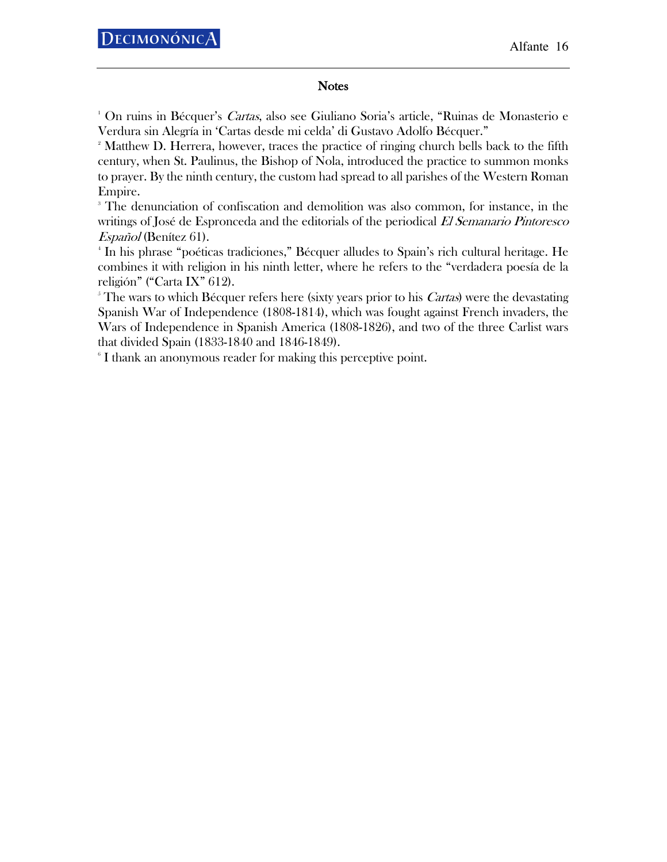## **Notes**

<sup>1</sup> On ruins in Bécquer's *Cartas*, also see Giuliano Soria's article, "Ruinas de Monasterio e Verdura sin Alegría in 'Cartas desde mi celda' di Gustavo Adolfo Bécquer."

<sup>2</sup> Matthew D. Herrera, however, traces the practice of ringing church bells back to the fifth century, when St. Paulinus, the Bishop of Nola, introduced the practice to summon monks to prayer. By the ninth century, the custom had spread to all parishes of the Western Roman Empire.

<sup>3</sup> The denunciation of confiscation and demolition was also common, for instance, in the writings of José de Espronceda and the editorials of the periodical El Semanario Pintoresco Español (Benítez 61).

<sup>4</sup> In his phrase "poéticas tradiciones," Bécquer alludes to Spain's rich cultural heritage. He combines it with religion in his ninth letter, where he refers to the "verdadera poesía de la religión" ("Carta IX" 612).

The wars to which Bécquer refers here (sixty years prior to his *Cartas*) were the devastating Spanish War of Independence (1808-1814), which was fought against French invaders, the Wars of Independence in Spanish America (1808-1826), and two of the three Carlist wars that divided Spain (1833-1840 and 1846-1849).

 $\,^{\circ}$  I thank an anonymous reader for making this perceptive point.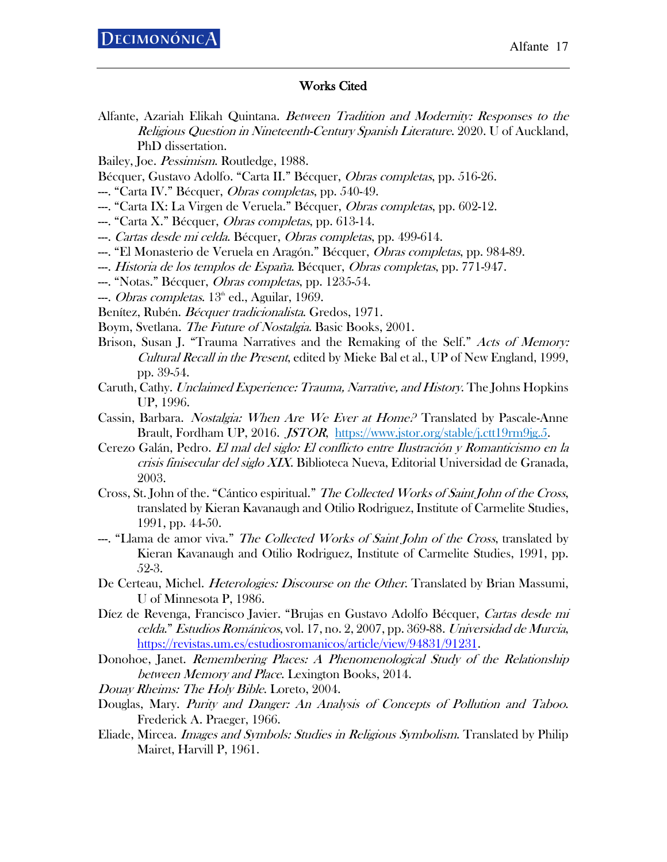## Works Cited

Alfante, Azariah Elikah Quintana. Between Tradition and Modernity: Responses to the Religious Question in Nineteenth-Century Spanish Literature. 2020. U of Auckland, PhD dissertation.

Bailey, Joe. Pessimism. Routledge, 1988.

- Bécquer, Gustavo Adolfo. "Carta II." Bécquer, Obras completas, pp. 516-26.
- --. "Carta IV." Bécquer, *Obras completas*, pp. 540-49.
- --. "Carta IX: La Virgen de Veruela." Bécquer, Obras completas, pp. 602-12.
- --. "Carta X." Bécquer, *Obras completas*, pp. 613-14.
- --. *Cartas desde mi celda*. Bécquer, *Obras completas*, pp. 499-614.
- ---. "El Monasterio de Veruela en Aragón." Bécquer, *Obras completas*, pp. 984-89.
- ---. Historia de los templos de España. Bécquer, Obras completas, pp. 771-947.
- --. "Notas." Bécquer, *Obras completas*, pp. 1235-54.
- $-.$  *Obras completas.*  $13^{\circ}$  ed., Aguilar, 1969.

Benítez, Rubén. Bécquer tradicionalista. Gredos, 1971.

Boym, Svetlana. *The Future of Nostalgia*. Basic Books, 2001.

- Brison, Susan J. "Trauma Narratives and the Remaking of the Self." Acts of Memory: Cultural Recall in the Present, edited by Mieke Bal et al., UP of New England, 1999, pp. 39-54.
- Caruth, Cathy. Unclaimed Experience: Trauma, Narrative, and History. The Johns Hopkins UP, 1996.
- Cassin, Barbara. Nostalgia: When Are We Ever at Home? Translated by Pascale-Anne Brault, Fordham UP, 2016. JSTOR, https://www.jstor.org/stable/j.ctt19rm9jg.5.
- Cerezo Galán, Pedro. El mal del siglo: El conflicto entre Ilustración y Romanticismo en la crisis finisecular del siglo XIX. Biblioteca Nueva, Editorial Universidad de Granada, 2003.
- Cross, St. John of the. "Cántico espiritual." The Collected Works of Saint John of the Cross, translated by Kieran Kavanaugh and Otilio Rodriguez, Institute of Carmelite Studies, 1991, pp. 44-50.
- --. "Llama de amor viva." *The Collected Works of Saint John of the Cross*, translated by Kieran Kavanaugh and Otilio Rodriguez, Institute of Carmelite Studies, 1991, pp. 52-3.
- De Certeau, Michel. *Heterologies: Discourse on the Other*. Translated by Brian Massumi, U of Minnesota P, 1986.
- Díez de Revenga, Francisco Javier. "Brujas en Gustavo Adolfo Bécquer, Cartas desde mi celda." Estudios Románicos, vol. 17, no. 2, 2007, pp. 369-88. Universidad de Murcia, https://revistas.um.es/estudiosromanicos/article/view/94831/91231.
- Donohoe, Janet. Remembering Places: A Phenomenological Study of the Relationship between Memory and Place. Lexington Books, 2014.
- Douay Rheims: The Holy Bible. Loreto, 2004.
- Douglas, Mary. Purity and Danger: An Analysis of Concepts of Pollution and Taboo. Frederick A. Praeger, 1966.
- Eliade, Mircea. *Images and Symbols: Studies in Religious Symbolism*. Translated by Philip Mairet, Harvill P, 1961.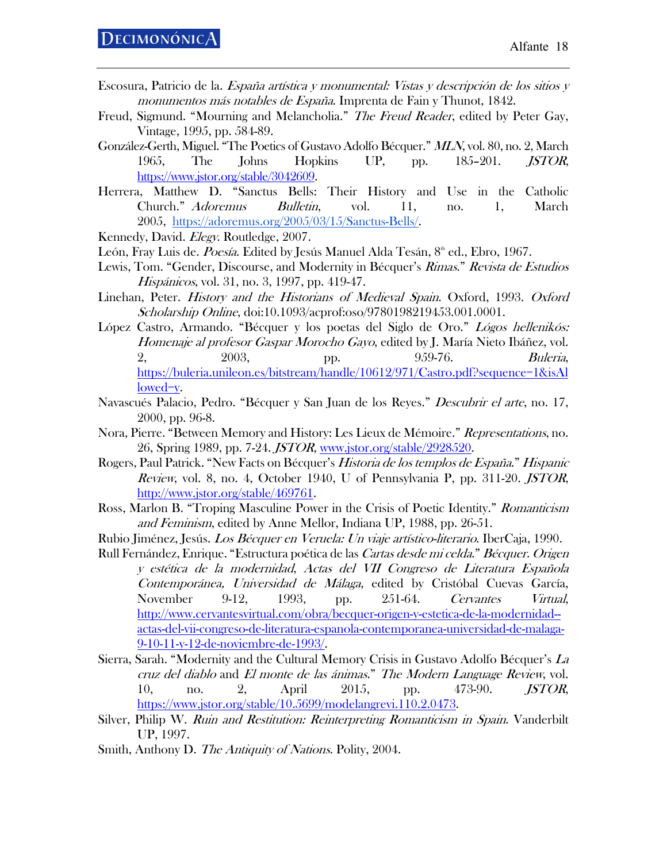- Escosura, Patricio de la. España artística y monumental: Vistas y descripción de los sitios y monumentos más notables de España. Imprenta de Fain y Thunot, 1842.
- Freud, Sigmund. "Mourning and Melancholia." The Freud Reader, edited by Peter Gay, Vintage, 1995, pp. 584-89.
- González-Gerth, Miguel. "The Poetics of Gustavo Adolfo Bécquer." MLN, vol. 80, no. 2, March 1965, The Johns Hopkins UP, pp. 185–201. JSTOR, https://www.jstor.org/stable/3042609.
- Herrera, Matthew D. "Sanctus Bells: Their History and Use in the Catholic Church." Adoremus Bulletin, vol. 11, no. 1, March 2005, https://adoremus.org/2005/03/15/Sanctus-Bells/.
- Kennedy, David. Elegy. Routledge, 2007.
- León, Fray Luis de. Poesía. Edited by Jesús Manuel Alda Tesán, 8<sup>th</sup> ed., Ebro, 1967.
- Lewis, Tom. "Gender, Discourse, and Modernity in Bécquer's Rimas." Revista de Estudios Hispánicos, vol. 31, no. 3, 1997, pp. 419-47.
- Linehan, Peter. History and the Historians of Medieval Spain. Oxford, 1993. Oxford Scholarship Online, doi:10.1093/acprof:oso/9780198219453.001.0001.
- López Castro, Armando. "Bécquer y los poetas del Siglo de Oro." Lógos hellenikós: Homenaje al profesor Gaspar Morocho Gayo, edited by J. María Nieto Ibáñez, vol. 2, 2003, pp. 959-76. Buleria, https://buleria.unileon.es/bitstream/handle/10612/971/Castro.pdf?sequence=1&isAl lowed=y.
- Navascués Palacio, Pedro. "Bécquer y San Juan de los Reyes." *Descubrir el arte*, no. 17, 2000, pp. 96-8.
- Nora, Pierre. "Between Memory and History: Les Lieux de Mémoire." Representations, no. 26, Spring 1989, pp. 7-24. JSTOR, www.jstor.org/stable/2928520.
- Rogers, Paul Patrick. "New Facts on Bécquer's Historia de los templos de España." Hispanic Review, vol. 8, no. 4, October 1940, U of Pennsylvania P, pp. 311-20. JSTOR, http://www.jstor.org/stable/469761.
- Ross, Marlon B. "Troping Masculine Power in the Crisis of Poetic Identity." *Romanticism* and Feminism, edited by Anne Mellor, Indiana UP, 1988, pp. 26-51.
- Rubio Jiménez, Jesús. Los Bécquer en Veruela: Un viaje artístico-literario. IberCaja, 1990.
- Rull Fernández, Enrique. "Estructura poética de las Cartas desde mi celda." Bécquer. Origen y estética de la modernidad, Actas del VII Congreso de Literatura Española Contemporánea, Universidad de Málaga, edited by Cristóbal Cuevas García, November 9-12, 1993, pp. 251-64. Cervantes Virtual, http://www.cervantesvirtual.com/obra/becquer-origen-y-estetica-de-la-modernidad- actas-del-vii-congreso-de-literatura-espanola-contemporanea-universidad-de-malaga-9-10-11-y-12-de-noviembre-de-1993/.
- Sierra, Sarah. "Modernity and the Cultural Memory Crisis in Gustavo Adolfo Bécquer's La cruz del diablo and El monte de las ánimas." The Modern Language Review, vol. 10, no. 2, April 2015, pp. 473-90. *JSTOR*, https://www.jstor.org/stable/10.5699/modelangrevi.110.2.0473.
- Silver, Philip W. Ruin and Restitution: Reinterpreting Romanticism in Spain. Vanderbilt UP, 1997.
- Smith, Anthony D. The Antiquity of Nations. Polity, 2004.